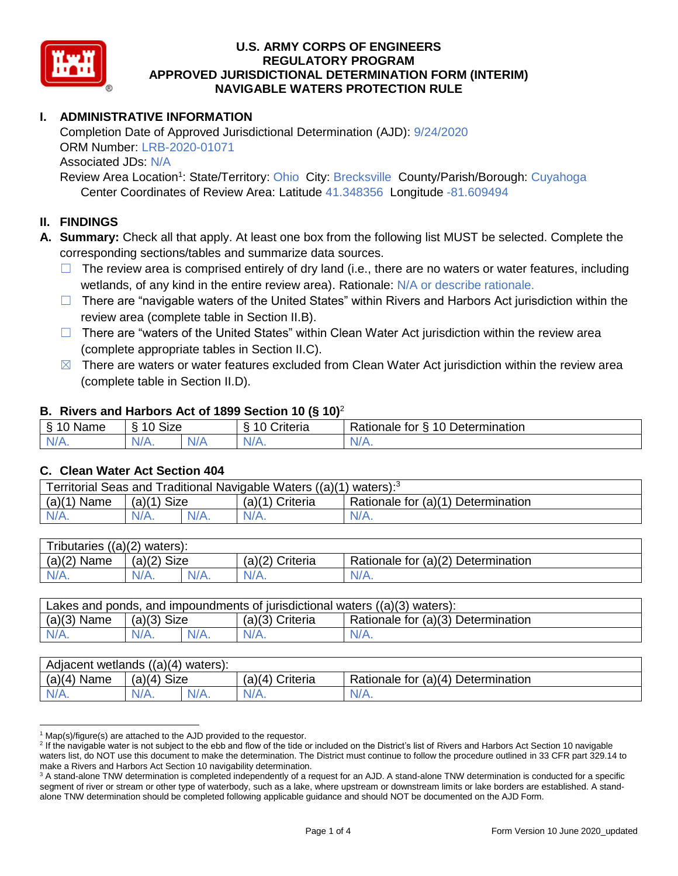

# **I. ADMINISTRATIVE INFORMATION**

Completion Date of Approved Jurisdictional Determination (AJD): 9/24/2020 ORM Number: LRB-2020-01071 Associated JDs: N/A

Review Area Location<sup>1</sup>: State/Territory: Ohio City: Brecksville County/Parish/Borough: Cuyahoga Center Coordinates of Review Area: Latitude 41.348356 Longitude -81.609494

### **II. FINDINGS**

**A. Summary:** Check all that apply. At least one box from the following list MUST be selected. Complete the corresponding sections/tables and summarize data sources.

- $\Box$  The review area is comprised entirely of dry land (i.e., there are no waters or water features, including wetlands, of any kind in the entire review area). Rationale: N/A or describe rationale.
- $\Box$  There are "navigable waters of the United States" within Rivers and Harbors Act jurisdiction within the review area (complete table in Section II.B).
- ☐ There are "waters of the United States" within Clean Water Act jurisdiction within the review area (complete appropriate tables in Section II.C).
- $\boxtimes$  There are waters or water features excluded from Clean Water Act jurisdiction within the review area (complete table in Section II.D).

### **B. Rivers and Harbors Act of 1899 Section 10 (§ 10)**<sup>2</sup>

| $\cdot$                                                  |                   |     |                |                                                                 |  |  |  |  |
|----------------------------------------------------------|-------------------|-----|----------------|-----------------------------------------------------------------|--|--|--|--|
| $\sim$ $\sim$<br>$\blacksquare$<br>Name<br>$\rightarrow$ | <b>Size</b><br>10 |     | ∶riteria<br>L. | Determination<br>D <sub>o</sub><br>$\Delta$<br>tor<br>Rationale |  |  |  |  |
| $N/A$ .                                                  | 'V/A.             | N/f | $N/A$ .        | $N/A$ .                                                         |  |  |  |  |

### **C. Clean Water Act Section 404**

| Territorial Seas and Traditional Navigable Waters $((a)(1)$ waters): <sup>3</sup> |                |  |                 |                                    |  |  |  |
|-----------------------------------------------------------------------------------|----------------|--|-----------------|------------------------------------|--|--|--|
| (a)(1)<br>Name                                                                    | Size<br>(a)(1) |  | (a)(1) Criteria | Rationale for (a)(1) Determination |  |  |  |
|                                                                                   | $N/A$ .        |  | $N/A$ .         | $N/A$ .                            |  |  |  |

| Tributaries $((a)(2)$ waters): |               |  |                 |                                    |  |  |  |
|--------------------------------|---------------|--|-----------------|------------------------------------|--|--|--|
| $(a)(2)$ Name                  | $(a)(2)$ Size |  | (a)(2) Criteria | Rationale for (a)(2) Determination |  |  |  |
| $N/A$ .                        | $N/A$ .       |  | $N/A$ .         | N/A.                               |  |  |  |

| Lakes and ponds, and impoundments of jurisdictional waters $((a)(3)$ waters): |               |         |                   |                                    |  |  |
|-------------------------------------------------------------------------------|---------------|---------|-------------------|------------------------------------|--|--|
| $(a)(3)$ Name                                                                 | $(a)(3)$ Size |         | $(a)(3)$ Criteria | Rationale for (a)(3) Determination |  |  |
| $N/A$ .                                                                       | $N/A$ .       | $N/A$ . | $N/A$ .           | $N/A$ .                            |  |  |

| Adjacent wetlands ((a)(4) waters): |                       |         |                    |                                    |  |  |  |
|------------------------------------|-----------------------|---------|--------------------|------------------------------------|--|--|--|
| $(a)(4)$ Name                      | <b>Size</b><br>(a)(4) |         | Criteria<br>(a)(4) | Rationale for (a)(4) Determination |  |  |  |
| $N/A$ .                            | $N/A$ .               | $N/A$ . | $N/A$ .            | $N/A$ .                            |  |  |  |

 $1$  Map(s)/figure(s) are attached to the AJD provided to the requestor.

<sup>&</sup>lt;sup>2</sup> If the navigable water is not subject to the ebb and flow of the tide or included on the District's list of Rivers and Harbors Act Section 10 navigable waters list, do NOT use this document to make the determination. The District must continue to follow the procedure outlined in 33 CFR part 329.14 to make a Rivers and Harbors Act Section 10 navigability determination.

<sup>&</sup>lt;sup>3</sup> A stand-alone TNW determination is completed independently of a request for an AJD. A stand-alone TNW determination is conducted for a specific segment of river or stream or other type of waterbody, such as a lake, where upstream or downstream limits or lake borders are established. A standalone TNW determination should be completed following applicable guidance and should NOT be documented on the AJD Form.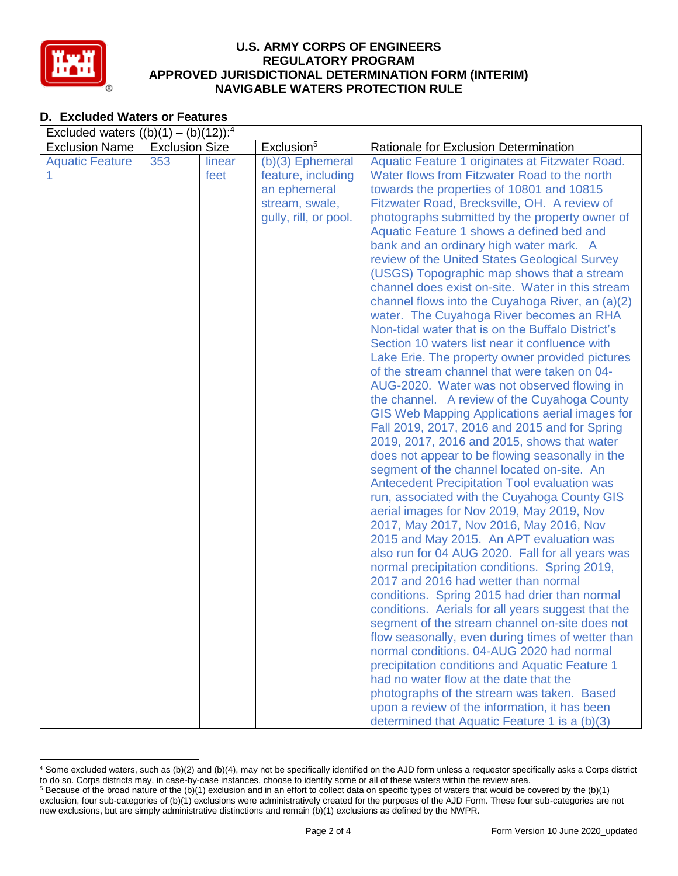

## **D. Excluded Waters or Features**

| Excluded waters $((b)(1) - (b)(12))$ : <sup>4</sup> |                       |                |                                                                                                     |                                                                                                                                                                                                                                                                                                                                                                                                                                                                                                                                                                                                                                                                                                                                                                                                                                                                                                                                                                                                                                                                                                                                                                                                                                                                                                                                                                                                                                                                                                                                                                                                                                                                                                                                                                                                                                                                                                                                                                                                     |  |  |
|-----------------------------------------------------|-----------------------|----------------|-----------------------------------------------------------------------------------------------------|-----------------------------------------------------------------------------------------------------------------------------------------------------------------------------------------------------------------------------------------------------------------------------------------------------------------------------------------------------------------------------------------------------------------------------------------------------------------------------------------------------------------------------------------------------------------------------------------------------------------------------------------------------------------------------------------------------------------------------------------------------------------------------------------------------------------------------------------------------------------------------------------------------------------------------------------------------------------------------------------------------------------------------------------------------------------------------------------------------------------------------------------------------------------------------------------------------------------------------------------------------------------------------------------------------------------------------------------------------------------------------------------------------------------------------------------------------------------------------------------------------------------------------------------------------------------------------------------------------------------------------------------------------------------------------------------------------------------------------------------------------------------------------------------------------------------------------------------------------------------------------------------------------------------------------------------------------------------------------------------------------|--|--|
| <b>Exclusion Name</b>                               | <b>Exclusion Size</b> |                | Exclusion <sup>5</sup>                                                                              | Rationale for Exclusion Determination                                                                                                                                                                                                                                                                                                                                                                                                                                                                                                                                                                                                                                                                                                                                                                                                                                                                                                                                                                                                                                                                                                                                                                                                                                                                                                                                                                                                                                                                                                                                                                                                                                                                                                                                                                                                                                                                                                                                                               |  |  |
| <b>Aquatic Feature</b>                              | 353                   | linear<br>feet | $(b)(3)$ Ephemeral<br>feature, including<br>an ephemeral<br>stream, swale,<br>gully, rill, or pool. | Aquatic Feature 1 originates at Fitzwater Road.<br>Water flows from Fitzwater Road to the north<br>towards the properties of 10801 and 10815<br>Fitzwater Road, Brecksville, OH. A review of<br>photographs submitted by the property owner of<br>Aquatic Feature 1 shows a defined bed and<br>bank and an ordinary high water mark. A<br>review of the United States Geological Survey<br>(USGS) Topographic map shows that a stream<br>channel does exist on-site. Water in this stream<br>channel flows into the Cuyahoga River, an (a)(2)<br>water. The Cuyahoga River becomes an RHA<br>Non-tidal water that is on the Buffalo District's<br>Section 10 waters list near it confluence with<br>Lake Erie. The property owner provided pictures<br>of the stream channel that were taken on 04-<br>AUG-2020. Water was not observed flowing in<br>the channel. A review of the Cuyahoga County<br>GIS Web Mapping Applications aerial images for<br>Fall 2019, 2017, 2016 and 2015 and for Spring<br>2019, 2017, 2016 and 2015, shows that water<br>does not appear to be flowing seasonally in the<br>segment of the channel located on-site. An<br><b>Antecedent Precipitation Tool evaluation was</b><br>run, associated with the Cuyahoga County GIS<br>aerial images for Nov 2019, May 2019, Nov<br>2017, May 2017, Nov 2016, May 2016, Nov<br>2015 and May 2015. An APT evaluation was<br>also run for 04 AUG 2020. Fall for all years was<br>normal precipitation conditions. Spring 2019,<br>2017 and 2016 had wetter than normal<br>conditions. Spring 2015 had drier than normal<br>conditions. Aerials for all years suggest that the<br>segment of the stream channel on-site does not<br>flow seasonally, even during times of wetter than<br>normal conditions. 04-AUG 2020 had normal<br>precipitation conditions and Aquatic Feature 1<br>had no water flow at the date that the<br>photographs of the stream was taken. Based<br>upon a review of the information, it has been |  |  |
|                                                     |                       |                |                                                                                                     | determined that Aquatic Feature 1 is a (b)(3)                                                                                                                                                                                                                                                                                                                                                                                                                                                                                                                                                                                                                                                                                                                                                                                                                                                                                                                                                                                                                                                                                                                                                                                                                                                                                                                                                                                                                                                                                                                                                                                                                                                                                                                                                                                                                                                                                                                                                       |  |  |

 <sup>4</sup> Some excluded waters, such as (b)(2) and (b)(4), may not be specifically identified on the AJD form unless a requestor specifically asks a Corps district to do so. Corps districts may, in case-by-case instances, choose to identify some or all of these waters within the review area.  $5$  Because of the broad nature of the (b)(1) exclusion and in an effort to collect data on specific types of waters that would be covered by the (b)(1)

exclusion, four sub-categories of (b)(1) exclusions were administratively created for the purposes of the AJD Form. These four sub-categories are not new exclusions, but are simply administrative distinctions and remain (b)(1) exclusions as defined by the NWPR.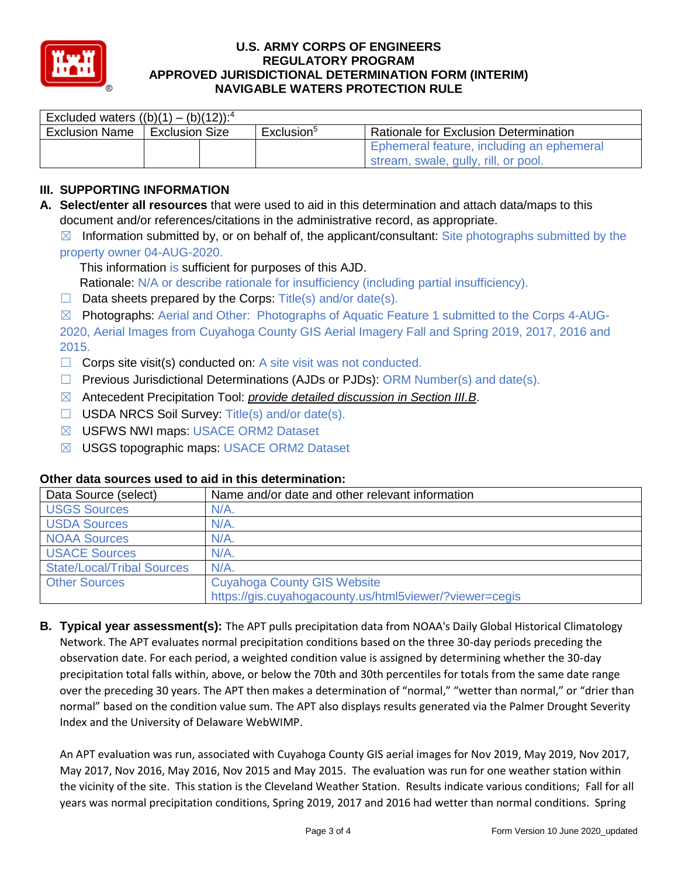

| Excluded waters $((b)(1) - (b)(12))$ : <sup>4</sup> |                |  |                        |                                              |  |  |  |
|-----------------------------------------------------|----------------|--|------------------------|----------------------------------------------|--|--|--|
| <b>Exclusion Name</b>                               | Exclusion Size |  | Exclusion <sup>5</sup> | <b>Rationale for Exclusion Determination</b> |  |  |  |
|                                                     |                |  |                        | Ephemeral feature, including an ephemeral    |  |  |  |
|                                                     |                |  |                        | stream, swale, gully, rill, or pool.         |  |  |  |

# **III. SUPPORTING INFORMATION**

**A. Select/enter all resources** that were used to aid in this determination and attach data/maps to this document and/or references/citations in the administrative record, as appropriate.

 $\boxtimes$  Information submitted by, or on behalf of, the applicant/consultant: Site photographs submitted by the property owner 04-AUG-2020.

This information is sufficient for purposes of this AJD.

Rationale: N/A or describe rationale for insufficiency (including partial insufficiency).

 $\Box$  Data sheets prepared by the Corps: Title(s) and/or date(s).

☒ Photographs: Aerial and Other: Photographs of Aquatic Feature 1 submitted to the Corps 4-AUG-2020, Aerial Images from Cuyahoga County GIS Aerial Imagery Fall and Spring 2019, 2017, 2016 and 2015.

- $\Box$  Corps site visit(s) conducted on: A site visit was not conducted.
- $\Box$  Previous Jurisdictional Determinations (AJDs or PJDs): ORM Number(s) and date(s).
- ☒ Antecedent Precipitation Tool: *provide detailed discussion in Section III.B*.
- ☐ USDA NRCS Soil Survey: Title(s) and/or date(s).
- ☒ USFWS NWI maps: USACE ORM2 Dataset
- ☒ USGS topographic maps: USACE ORM2 Dataset

### **Other data sources used to aid in this determination:**

| Data Source (select)              | Name and/or date and other relevant information         |
|-----------------------------------|---------------------------------------------------------|
| <b>USGS Sources</b>               | $N/A$ .                                                 |
| <b>USDA Sources</b>               | $N/A$ .                                                 |
| <b>NOAA Sources</b>               | $N/A$ .                                                 |
| <b>USACE Sources</b>              | $N/A$ .                                                 |
| <b>State/Local/Tribal Sources</b> | N/A                                                     |
| <b>Other Sources</b>              | <b>Cuyahoga County GIS Website</b>                      |
|                                   | https://gis.cuyahogacounty.us/html5viewer/?viewer=cegis |

**B. Typical year assessment(s):** The APT pulls precipitation data from NOAA's Daily Global Historical Climatology Network. The APT evaluates normal precipitation conditions based on the three 30-day periods preceding the observation date. For each period, a weighted condition value is assigned by determining whether the 30-day precipitation total falls within, above, or below the 70th and 30th percentiles for totals from the same date range over the preceding 30 years. The APT then makes a determination of "normal," "wetter than normal," or "drier than normal" based on the condition value sum. The APT also displays results generated via the Palmer Drought Severity Index and the University of Delaware WebWIMP.

An APT evaluation was run, associated with Cuyahoga County GIS aerial images for Nov 2019, May 2019, Nov 2017, May 2017, Nov 2016, May 2016, Nov 2015 and May 2015. The evaluation was run for one weather station within the vicinity of the site. This station is the Cleveland Weather Station. Results indicate various conditions; Fall for all years was normal precipitation conditions, Spring 2019, 2017 and 2016 had wetter than normal conditions. Spring